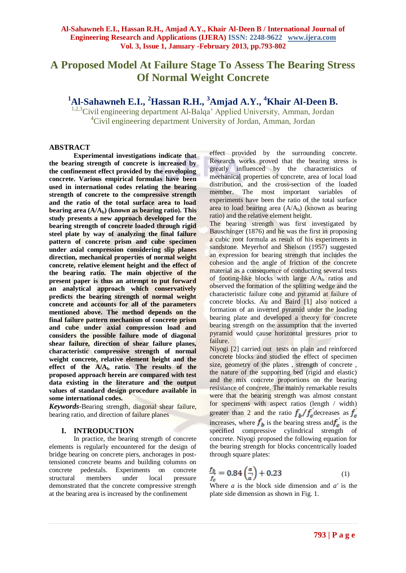# **A Proposed Model At Failure Stage To Assess The Bearing Stress Of Normal Weight Concrete**

**<sup>1</sup>Al-Sahawneh E.I., <sup>2</sup>Hassan R.H., <sup>3</sup>Amjad A.Y., <sup>4</sup>Khair Al-Deen B.**

<sup>1,2,3</sup>Civil engineering department Al-Balqa' Applied University, Amman, Jordan <sup>4</sup>Civil engineering department University of Jordan, Amman, Jordan

#### **ABSTRACT**

**Experimental investigations indicate that the bearing strength of concrete is increased by the confinement effect provided by the enveloping concrete. Various empirical formulas have been used in international codes relating the bearing strength of concrete to the compressive strength and the ratio of the total surface area to load bearing area (A/Ab) (known as bearing ratio). This study presents a new approach developed for the bearing strength of concrete loaded through rigid steel plate by way of analyzing the final failure pattern of concrete prism and cube specimen under axial compression considering slip planes direction, mechanical properties of normal weight concrete, relative element height and the effect of the bearing ratio. The main objective of the present paper is thus an attempt to put forward an analytical approach which conservatively predicts the bearing strength of normal weight concrete and accounts for all of the parameters mentioned above. The method depends on the final failure pattern mechanism of concrete prism and cube under axial compression load and considers the possible failure mode of diagonal shear failure, direction of shear failure planes, characteristic compressive strength of normal weight concrete, relative element height and the effect of the A/A<sup>b</sup> ratio. The results of the proposed approach herein are compared with test data existing in the literature and the output values of standard design procedure available in some international codes.**

*Keywords-*Bearing strength, diagonal shear failure, bearing ratio, and direction of failure planes

#### **I. INTRODUCTION**

In practice, the bearing strength of concrete elements is regularly encountered for the design of bridge bearing on concrete piers, anchorages in posttensioned concrete beams and building columns on concrete pedestals. Experiments on concrete structural members under local pressure demonstrated that the concrete compressive strength at the bearing area is increased by the confinement

effect provided by the surrounding concrete. Research works proved that the bearing stress is greatly influenced by the characteristics of mechanical properties of concrete, area of local load distribution, and the cross-section of the loaded member. The most important variables of experiments have been the ratio of the total surface area to load bearing area  $(A/A_b)$  (known as bearing ratio) and the relative element height.

The bearing strength was first investigated by Bauschinger (1876) and he was the first in proposing a cubic root formula as result of his experiments in sandstone. Meyerhof and Shelson (1957) suggested an expression for bearing strength that includes the cohesion and the angle of friction of the concrete material as a consequence of conducting several tests of footing-like blocks with large  $A/A_b$  ratios and observed the formation of the splitting wedge and the characteristic failure cone and pyramid at failure of concrete blocks. Au and Baird [1] also noticed a formation of an inverted pyramid under the loading bearing plate and developed a theory for concrete bearing strength on the assumption that the inverted pyramid would cause horizontal pressures prior to failure.

Niyogi [2] carried out tests on plain and reinforced concrete blocks and studied the effect of specimen size, geometry of the plates , strength of concrete , the nature of the supporting bed (rigid and elastic) and the mix concrete proportions on the bearing resistance of concrete. The mainly remarkable results were that the bearing strength was almost constant for specimens with aspect ratios (length / width) greater than 2 and the ratio  $f_h/f_c$  decreases as  $f_c$ increases, where  $f<sub>b</sub>$  is the bearing stress and  $f<sub>c</sub>$  is the specified compressive cylindrical strength of concrete. Niyogi proposed the following equation for the bearing strength for blocks concentrically loaded through square plates:

$$
\frac{f_b}{f_c} = 0.84 \left( \frac{a}{a} \right) + 0.23 \tag{1}
$$

Where  $a$  is the block side dimension and  $a'$  is the plate side dimension as shown in Fig. 1.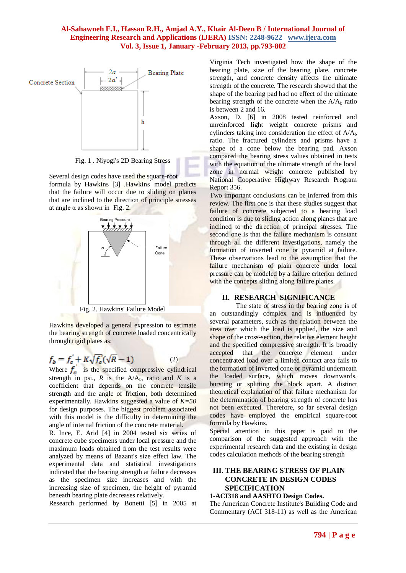

Fig. 1 . Niyogi's 2D Bearing Stress

Several design codes have used the square-root formula by Hawkins [3] .Hawkins′ model predicts that the failure will occur due to sliding on planes that are inclined to the direction of principle stresses at angle  $\alpha$  as shown in Fig. 2.



Fig. 2. Hawkins' Failure Model

Hawkins developed a general expression to estimate the bearing strength of concrete loaded concentrically through rigid plates as:

$$
f_b = f_c' + K\sqrt{f_c'}(\sqrt{R} - 1)
$$
 (2)

Where  $f_c$  is the specified compressive cylindrical strength in psi.,  $R$  is the  $A/A_b$ , ratio and  $K$  is a coefficient that depends on the concrete tensile strength and the angle of friction, both determined experimentally. Hawkins suggested a value of *K=50*  for design purposes. The biggest problem associated with this model is the difficulty in determining the angle of internal friction of the concrete material.

R. Ince, E. Arid [4] in 2004 tested six series of concrete cube specimens under local pressure and the maximum loads obtained from the test results were analyzed by means of Bazant's size effect law. The experimental data and statistical investigations indicated that the bearing strength at failure decreases as the specimen size increases and with the increasing size of specimen, the height of pyramid beneath bearing plate decreases relatively.

Research performed by Bonetti [5] in 2005 at

Virginia Tech investigated how the shape of the bearing plate, size of the bearing plate, concrete strength, and concrete density affects the ultimate strength of the concrete. The research showed that the shape of the bearing pad had no effect of the ultimate bearing strength of the concrete when the  $A/A_b$  ratio is between 2 and 16.

Axson, D. [6] in 2008 tested reinforced and unreinforced light weight concrete prisms and cylinders taking into consideration the effect of  $A/A_b$ ratio. The fractured cylinders and prisms have a shape of a cone below the bearing pad. Axson compared the bearing stress values obtained in tests with the equation of the ultimate strength of the local zone in normal weight concrete published by National Cooperative Highway Research Program Report 356.

Two important conclusions can be inferred from this review. The first one is that these studies suggest that failure of concrete subjected to a bearing load condition is due to sliding action along planes that are inclined to the direction of principal stresses. The second one is that the failure mechanism is constant through all the different investigations, namely the formation of inverted cone or pyramid at failure. These observations lead to the assumption that the failure mechanism of plain concrete under local pressure can be modeled by a failure criterion defined with the concepts sliding along failure planes.

# **II. RESEARCH SIGNIFICANCE**

The state of stress in the bearing zone is of an outstandingly complex and is influenced by several parameters, such as the relation between the area over which the load is applied, the size and shape of the cross-section, the relative element height and the specified compressive strength. It is broadly accepted that the concrete element under concentrated load over a limited contact area fails to the formation of inverted cone or pyramid underneath the loaded surface, which moves downwards, bursting or splitting the block apart. A distinct theoretical explanation of that failure mechanism for the determination of bearing strength of concrete has not been executed. Therefore, so far several design codes have employed the empirical square-root formula by Hawkins.

Special attention in this paper is paid to the comparison of the suggested approach with the experimental research data and the existing in design codes calculation methods of the bearing strength

#### **III. THE BEARING STRESS OF PLAIN CONCRETE IN DESIGN CODES SPECIFICATION**

#### 1-**ACI318 and AASHTO Design Codes.**

The American Concrete Institute's Building Code and Commentary (ACI 318-11) as well as the American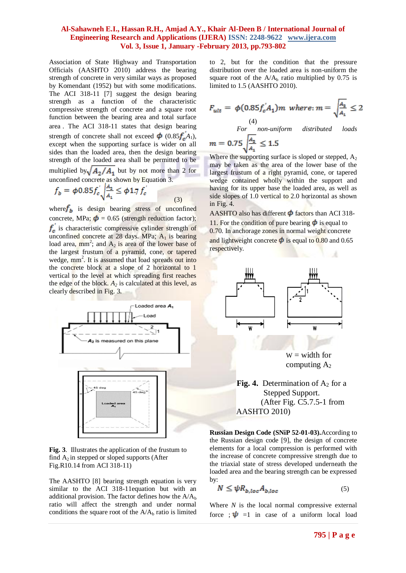Association of State Highway and Transportation Officials (AASHTO 2010) address the bearing strength of concrete in very similar ways as proposed by Komendant (1952) but with some modifications. The ACI 318-11 [7] suggest the design bearing strength as a function of the characteristic compressive strength of concrete and a square root function between the bearing area and total surface area . The ACI 318-11 states that design bearing strength of concrete shall not exceed  $\phi$  (0.85 $f_a$ <sup>'</sup>A<sub>1</sub>), except when the supporting surface is wider on all sides than the loaded area, then the design bearing strength of the loaded area shall be permitted to be multiplied by  $\sqrt{A_2/A_1}$  but by not more than 2 for unconfined concrete as shown by Equation 3.

$$
f_b = \phi 0.85 f_c' \sqrt{\frac{A_2}{A_1}} \le \phi 1.7 f_c'
$$
\n(3)

where  $f<sub>b</sub>$  is design bearing stress of unconfined concrete, MPa;  $\phi = 0.65$  (strength reduction factor);  $f_c$  is characteristic compressive cylinder strength of unconfined concrete at  $28$  days. MPa;  $A_1$  is bearing load area,  $mm^2$ ; and  $A_2$  is area of the lower base of the largest frustum of a pyramid, cone, or tapered wedge, mm<sup>2</sup>. It is assumed that load spreads out into the concrete block at a slope of 2 horizontal to 1 vertical to the level at which spreading first reaches the edge of the block.  $A_2$  is calculated at this level, as clearly described in Fig. 3.



**Fig. 3**. Illustrates the application of the frustum to find  $A_2$  in stepped or sloped supports (After Fig.R10.14 from ACI 318-11)

The AASHTO [8] bearing strength equation is very similar to the ACI 318-11 equation but with an additional provision. The factor defines how the  $A/A<sub>b</sub>$ ratio will affect the strength and under normal conditions the square root of the  $A/A<sub>b</sub>$  ratio is limited to 2, but for the condition that the pressure distribution over the loaded area is non-uniform the square root of the  $A/A<sub>b</sub>$  ratio multiplied by 0.75 is limited to 1.5 (AASHTO 2010).

$$
F_{ult} = \phi(0.85f_c^{'}A_1)m \text{ where: } m = \sqrt{\frac{A_2}{A_1}} \le 2
$$
  
(4)  
For non-uniform distributed loads  

$$
m = 0.75\sqrt{\frac{A_2}{A_1}} \le 1.5
$$

Where the supporting surface is sloped or stepped,  $A_2$ may be taken as the area of the lower base of the largest frustum of a right pyramid, cone, or tapered wedge contained wholly within the support and having for its upper base the loaded area, as well as side slopes of 1.0 vertical to 2.0 horizontal as shown in Fig. 4.

AASHTO also has different  $\phi$  factors than ACI 318-11. For the condition of pure bearing  $\phi$  is equal to 0.70. In anchorage zones in normal weight concrete and lightweight concrete  $\phi$  is equal to 0.80 and 0.65 respectively.



# **Fig. 4.** Determination of  $A_2$  for a Stepped Support. (After Fig. C5.7.5-1 from AASHTO 2010)

**Russian Design Code (SNiP 52-01-03).**According to the Russian design code [9], the design of concrete elements for a local compression is performed with the increase of concrete compressive strength due to the triaxial state of stress developed underneath the loaded area and the bearing strength can be expressed by:

$$
N \leq \psi R_{b,loc} A_{b,loc} \tag{5}
$$

Where *N* is the local normal compressive external force ;  $\psi$  =1 in case of a uniform local load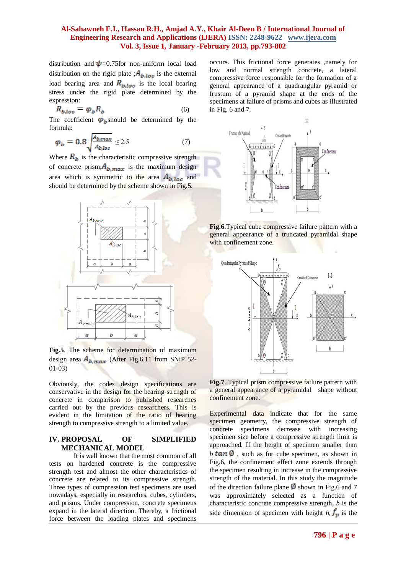distribution and  $\psi$ =0.75for non-uniform local load distribution on the rigid plate ;  $A_{b,loc}$  is the external load bearing area and  $R_{b,loc}$  is the local bearing stress under the rigid plate determined by the expression:

$$
R_{b,loc} = \varphi_b R_b \tag{6}
$$

The coefficient  $\varphi_b$  should be determined by the formula:

$$
\varphi_b = 0.8 \sqrt{\frac{A_{b,max}}{A_{b,loc}}} \le 2.5 \tag{7}
$$

Where  $R_b$  is the characteristic compressive strength of concrete prism;  $A_{b,max}$  is the maximum design area which is symmetric to the area  $A_{b,loc}$  and should be determined by the scheme shown in Fig.5.



**Fig.5**. The scheme for determination of maximum design area  $A_{b,max}$  (After Fig.6.11 from SNiP 52-01-03)

Obviously, the codes design specifications are conservative in the design for the bearing strength of concrete in comparison to published researches carried out by the previous researchers. This is evident in the limitation of the ratio of bearing strength to compressive strength to a limited value.

#### **IV. PROPOSAL OF SIMPLIFIED MECHANICAL MODEL**

It is well known that the most common of all tests on hardened concrete is the compressive strength test and almost the other characteristics of concrete are related to its compressive strength. Three types of compression test specimens are used nowadays, especially in researches, cubes, cylinders, and prisms. Under compression, concrete specimens expand in the lateral direction. Thereby, a frictional force between the loading plates and specimens occurs. This frictional force generates ,namely for low and normal strength concrete, a lateral compressive force responsible for the formation of a general appearance of a quadrangular pyramid or frustum of a pyramid shape at the ends of the specimens at failure of prisms and cubes as illustrated in Fig. 6 and 7.



**Fig.6**.Typical cube compressive failure pattern with a general appearance of a truncated pyramidal shape with confinement zone.



**Fig.7**. Typical prism compressive failure pattern with a general appearance of a pyramidal shape without confinement zone.

Experimental data indicate that for the same specimen geometry, the compressive strength of concrete specimens decrease with increasing specimen size before a compressive strength limit is approached. If the height of specimen smaller than  $b \tan \phi$ , such as for cube specimen, as shown in Fig.6, the confinement effect zone extends through the specimen resulting in increase in the compressive strength of the material. In this study the magnitude of the direction failure plane  $\emptyset$  shown in Fig.6 and 7 was approximately selected as a function of characteristic concrete compressive strength, *b* is the side dimension of specimen with height  $h$ ,  $f<sub>p</sub>$  is the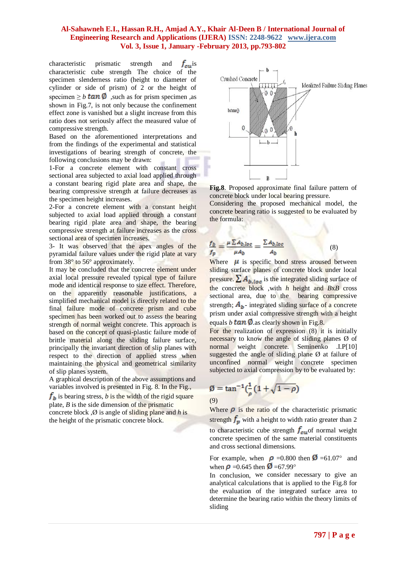characteristic prismatic strength and  $f_{\alpha}$  is characteristic cube strength The choice of the specimen slenderness ratio (height to diameter of cylinder or side of prism) of 2 or the height of specimen  $\geq b$  **tan Ø**, such as for prism specimen , as shown in Fig.7, is not only because the confinement effect zone is vanished but a slight increase from this ratio does not seriously affect the measured value of compressive strength.

Based on the aforementioned interpretations and from the findings of the experimental and statistical investigations of bearing strength of concrete, the following conclusions may be drawn:

1-For a concrete element with constant cross sectional area subjected to axial load applied through a constant bearing rigid plate area and shape, the bearing compressive strength at failure decreases as the specimen height increases.

2-For a concrete element with a constant height subjected to axial load applied through a constant bearing rigid plate area and shape, the bearing compressive strength at failure increases as the cross sectional area of specimen increases.

3- It was observed that the apex angles of the pyramidal failure values under the rigid plate at vary from 38° to 56° approximately.

It may be concluded that the concrete element under axial local pressure revealed typical type of failure mode and identical response to size effect. Therefore, on the apparently reasonable justifications, a simplified mechanical model is directly related to the final failure mode of concrete prism and cube specimen has been worked out to assess the bearing strength of normal weight concrete. This approach is based on the concept of quasi-plastic failure mode of brittle material along the sliding failure surface, principally the invariant direction of slip planes with respect to the direction of applied stress when maintaining the physical and geometrical similarity of slip planes system.

A graphical description of the above assumptions and variables involved is presented in Fig. 8. In the Fig.,  $f<sub>b</sub>$  is bearing stress, *b* is the width of the rigid square plate, *B* is the side dimension of the prismatic concrete block ,Ø is angle of sliding plane and *h* is the height of the prismatic concrete block.



**Fig.8**. Proposed approximate final failure pattern of concrete block under local bearing pressure.

Considering the proposed mechanical model, the concrete bearing ratio is suggested to be evaluated by the formula:

$$
\frac{f_b}{f_p} = \frac{\mu \sum A_{b,loc}}{\mu A_b} = \frac{\sum A_{b,loc}}{A_b}
$$
 (8)

Where  $\mu$  is specific bond stress aroused between sliding surface planes of concrete block under local pressure.  $\sum A_{b,loc}$  is the integrated sliding surface of the concrete block ,with *h* height and *B*x*B* cross sectional area, due to the bearing compressive strength;  $A<sub>b</sub>$ - integrated sliding surface of a concrete prism under axial compressive strength with a height equals  $b \tan \phi$  as clearly shown in Fig.8.

For the realization of expression (8) it is initially necessary to know the angle of sliding planes Ø of normal weight concrete. Seminenko .I.P[10] suggested the angle of sliding plane Ø at failure of unconfined normal weight concrete specimen subjected to axial compression by to be evaluated by:

$$
\emptyset = \tan^{-1}(\frac{1}{\rho}(1 + \sqrt{1 - \rho})
$$
\n(9)

٠

Where  $\rho$  is the ratio of the characteristic prismatic strength  $f_p$  with a height to width ratio greater than 2 to characteristic cube strength  $f_{cu}$  of normal weight concrete specimen of the same material constituents and cross sectional dimensions.

For example, when  $\rho = 0.800$  then  $\Omega = 61.07$ ° and when  $\rho = 0.645$  then  $\emptyset = 67.99^{\circ}$ 

In conclusion, we consider necessary to give an analytical calculations that is applied to the Fig.8 for the evaluation of the integrated surface area to determine the bearing ratio within the theory limits of sliding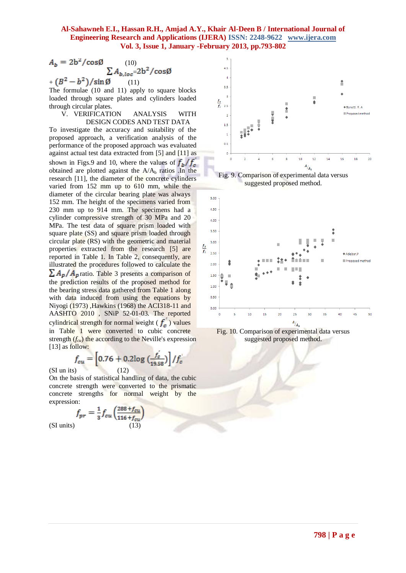$$
A_b = 2b^2 / \cos\emptyset
$$
 (10)  

$$
\sum A_{b,loc} = 2b^2 / \cos\emptyset
$$
  
+ 
$$
(B^2 - b^2) / \sin\emptyset
$$
 (11)

The formulae (10 and 11) apply to square blocks loaded through square plates and cylinders loaded through circular plates.

V. VERIFICATION ANALYSIS WITH DESIGN CODES AND TEST DATA

To investigate the accuracy and suitability of the proposed approach, a verification analysis of the performance of the proposed approach was evaluated against actual test data extracted from [5] and [11] as shown in Figs.9 and 10, where the values of  $f_h/f_c$ obtained are plotted against the  $A/A<sub>b</sub>$  ratios . In the research [11], the diameter of the concrete cylinders varied from 152 mm up to 610 mm, while the diameter of the circular bearing plate was always 152 mm. The height of the specimens varied from 230 mm up to 914 mm. The specimens had a cylinder compressive strength of 30 MPa and 20 MPa. The test data of square prism loaded with square plate (SS) and square prism loaded through circular plate (RS) with the geometric and material properties extracted from the research [5] are reported in Table 1. In Table 2, consequently, are illustrated the procedures followed to calculate the  $\sum A_p/A_p$  ratio. Table 3 presents a comparison of the prediction results of the proposed method for the bearing stress data gathered from Table 1 along with data induced from using the equations by Niyogi (1973) ,Hawkins (1968) the ACI318-11 and AASHTO 2010 , SNiP 52-01-03. The reported cylindrical strength for normal weight ( $f_c$ ) values in Table 1 were converted to cubic concrete strength  $(f_{cu})$  the according to the Neville's expression [13] as follow:

$$
f_{cu} = \left[0.76 + 0.2\log\left(\frac{f_c}{19.58}\right)\right] / f_c
$$
\n(SI un its) (12)

On the basis of statistical handling of data, the cubic concrete strength were converted to the prismatic concrete strengths for normal weight by the expression:

$$
f_{pr} = \frac{1}{3} f_{cu} \left( \frac{288 + f_{cu}}{116 + f_{cu}} \right)
$$
\n(SI units)

\n(13)



Fig. 9. Comparison of experimental data versus suggested proposed method.



Fig. 10. Comparison of experimental data versus suggested proposed method.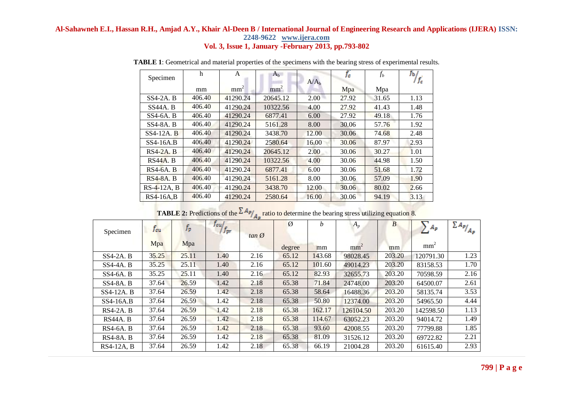| Specimen        | h      | A               | $A_{b}$         |                  | fe    | $f_b$ | ĴЪ / |  |
|-----------------|--------|-----------------|-----------------|------------------|-------|-------|------|--|
|                 |        |                 |                 | A/A <sub>h</sub> |       |       | f    |  |
|                 | mm     | mm <sup>2</sup> | mm <sup>2</sup> |                  | Mpa   | Mpa   |      |  |
| $SS4-2A. B$     | 406.40 | 41290.24        | 20645.12        | 2.00             | 27.92 | 31.65 | 1.13 |  |
| <b>SS44A. B</b> | 406.40 | 41290.24        | 10322.56        | 4.00             | 27.92 | 41.43 | 1.48 |  |
| $SS4-6A. B$     | 406.40 | 41290.24        | 6877.41         | 6.00             | 27.92 | 49.18 | 1.76 |  |
| $SS4-8A. B$     | 406.40 | 41290.24        | 5161.28         | 8.00             | 30.06 | 57.76 | 1.92 |  |
| $SS4-12A$ . B   | 406.40 | 41290.24        | 3438.70         | 12.00            | 30.06 | 74.68 | 2.48 |  |
| $SS4-16A.B$     | 406.40 | 41290.24        | 2580.64         | 16.00            | 30.06 | 87.97 | 2.93 |  |
| $RS4-2A. B$     | 406.40 | 41290.24        | 20645.12        | 2.00             | 30.06 | 30.27 | 1.01 |  |
| RS44A. B        | 406.40 | 41290.24        | 10322.56        | 4.00             | 30.06 | 44.98 | 1.50 |  |
| $RS4-6A$ . B    | 406.40 | 41290.24        | 6877.41         | 6.00             | 30.06 | 51.68 | 1.72 |  |
| $RS4-8A. B$     | 406.40 | 41290.24        | 5161.28         | 8.00             | 30.06 | 57.09 | 1.90 |  |
| $RS-4-12A, B$   | 406.40 | 41290.24        | 3438.70         | 12.00            | 30.06 | 80.02 | 2.66 |  |
| $RS4-16A,B$     | 406.40 | 41290.24        | 2580.64         | 16.00            | 30.06 | 94.19 | 3.13 |  |

**TABLE 1**: Geometrical and material properties of the specimens with the bearing stress of experimental results.

| Specimen         | Teu   | $f_p$ | J cu f<br>$f_{pr}$ |            | $\emptyset$ | h      | $A_p$           | $\boldsymbol{B}$ | $\sum A_P$      | $\sum A_p$ / $A_p$ |
|------------------|-------|-------|--------------------|------------|-------------|--------|-----------------|------------------|-----------------|--------------------|
|                  | Mpa   | Mpa   |                    | $tan \phi$ | degree      | mm     | mm <sup>2</sup> | mm               | mm <sup>2</sup> |                    |
| $SS4-2A. B$      | 35.25 | 25.11 | 1.40               | 2.16       | 65.12       | 143.68 | 98028.45        | 203.20           | 120791.30       | 1.23               |
| $SS4-4A. B$      | 35.25 | 25.11 | 1.40               | 2.16       | 65.12       | 101.60 | 49014.23        | 203.20           | 83158.53        | 1.70               |
| $SS4-6A. B$      | 35.25 | 25.11 | 1.40               | 2.16       | 65.12       | 82.93  | 32655.73        | 203.20           | 70598.59        | 2.16               |
| <b>SS4-8A. B</b> | 37.64 | 26.59 | 1.42               | 2.18       | 65.38       | 71.84  | 24748.00        | 203.20           | 64500.07        | 2.61               |
| SS4-12A. B       | 37.64 | 26.59 | 1.42               | 2.18       | 65.38       | 58.64  | 16488.36        | 203.20           | 58135.74        | 3.53               |
| $SS4-16A.B$      | 37.64 | 26.59 | 1.42               | 2.18       | 65.38       | 50.80  | 12374.00        | 203.20           | 54965.50        | 4.44               |
| $RS4-2A. B$      | 37.64 | 26.59 | 1.42               | 2.18       | 65.38       | 162.17 | 126104.50       | 203.20           | 142598.50       | 1.13               |
| RS44A. B         | 37.64 | 26.59 | 1.42               | 2.18       | 65.38       | 114.67 | 63052.23        | 203.20           | 94014.72        | 1.49               |
| $RS4-6A. B$      | 37.64 | 26.59 | 1.42               | 2.18       | 65.38       | 93.60  | 42008.55        | 203.20           | 77799.88        | 1.85               |
| <b>RS4-8A. B</b> | 37.64 | 26.59 | 1.42               | 2.18       | 65.38       | 81.09  | 31526.12        | 203.20           | 69722.82        | 2.21               |
| RS4-12A, B       | 37.64 | 26.59 | 1.42               | 2.18       | 65.38       | 66.19  | 21004.28        | 203.20           | 61615.40        | 2.93               |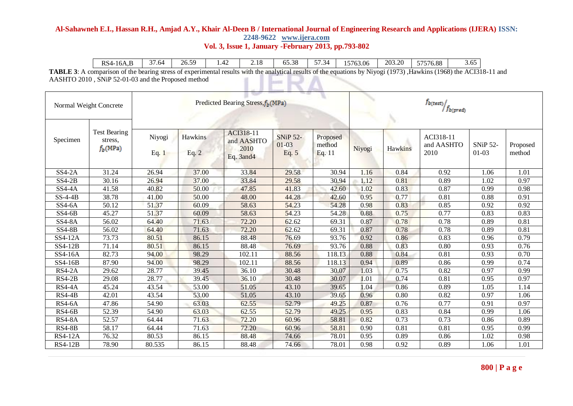| $\mathbf{r}$<br>RS4-<br>16A,B | $\sim$<br>. .64 | $\sim$ $\sim$<br>26.5<br>ົ້ | . .42 | 1 <sub>O</sub><br>2.IO | $\sim$ $\sim$ $\sim$<br>$\ddot{\phantom{1}}$<br>00.OC | $- -$<br>$\overline{\phantom{0}}$<br>$\sim$ /1<br>ໍ່ | 5763.06 | 203.20 | $F = F = G$<br>. vv<br>.<br>,70.00<br>ں ر | - -<br>$\sim$<br>J.VJ |
|-------------------------------|-----------------|-----------------------------|-------|------------------------|-------------------------------------------------------|------------------------------------------------------|---------|--------|-------------------------------------------|-----------------------|
|-------------------------------|-----------------|-----------------------------|-------|------------------------|-------------------------------------------------------|------------------------------------------------------|---------|--------|-------------------------------------------|-----------------------|

**TABLE 3**: A comparison of the bearing stress of experimental results with the analytical results of the equations by Niyogi (1973) ,Hawkins (1968) the ACI318-11 and AASHTO 2010 , SNiP 52-01-03 and the Proposed method LIERA  $\overline{\phantom{0}}$ 

| Normal Weight Concrete |                                              |                 | Predicted Bearing Stress, f <sub>b</sub> (MPa) |                                              |                                     |                              |        |         | $f_{b(test)}$<br>$f_{b (pred)}$ |                            |                    |  |  |  |
|------------------------|----------------------------------------------|-----------------|------------------------------------------------|----------------------------------------------|-------------------------------------|------------------------------|--------|---------|---------------------------------|----------------------------|--------------------|--|--|--|
| Specimen               | <b>Test Bearing</b><br>stress.<br>$f_b(MPa)$ | Niyogi<br>Eq. 1 | Hawkins<br>Eq. 2                               | ACI318-11<br>and AASHTO<br>2010<br>Eq. 3and4 | <b>SNiP 52-</b><br>$01-03$<br>Eq. 5 | Proposed<br>method<br>Eq. 11 | Niyogi | Hawkins | ACI318-11<br>and AASHTO<br>2010 | <b>SNiP 52-</b><br>$01-03$ | Proposed<br>method |  |  |  |
| $SS4-2A$               | 31.24                                        | 26.94           | 37.00                                          | 33.84                                        | 29.58                               | 30.94                        | 1.16   | 0.84    | 0.92                            | 1.06                       | 1.01               |  |  |  |
| $SS4-2B$               | 30.16                                        | 26.94           | 37.00                                          | 33.84                                        | 29.58                               | 30.94                        | 1.12   | 0.81    | 0.89                            | 1.02                       | 0.97               |  |  |  |
| <b>SS4-4A</b>          | 41.58                                        | 40.82           | 50.00                                          | 47.85                                        | 41.83                               | 42.60                        | 1.02   | 0.83    | 0.87                            | 0.99                       | 0.98               |  |  |  |
| $SS-4-4B$              | 38.78                                        | 41.00           | 50.00                                          | 48.00                                        | 44.28                               | 42.60                        | 0.95   | 0.77    | 0.81                            | 0.88                       | 0.91               |  |  |  |
| $SS4-6A$               | 50.12                                        | 51.37           | 60.09                                          | 58.63                                        | 54.23                               | 54.28                        | 0.98   | 0.83    | 0.85                            | 0.92                       | 0.92               |  |  |  |
| $SS4-6B$               | 45.27                                        | 51.37           | 60.09                                          | 58.63                                        | 54.23                               | 54.28                        | 0.88   | 0.75    | 0.77                            | 0.83                       | 0.83               |  |  |  |
| <b>SS4-8A</b>          | 56.02                                        | 64.40           | 71.63                                          | 72.20                                        | 62.62                               | 69.31                        | 0.87   | 0.78    | 0.78                            | 0.89                       | 0.81               |  |  |  |
| <b>SS4-8B</b>          | 56.02                                        | 64.40           | 71.63                                          | 72.20                                        | 62.62                               | 69.31                        | 0.87   | 0.78    | 0.78                            | 0.89                       | 0.81               |  |  |  |
| SS4-12A                | 73.73                                        | 80.51           | 86.15                                          | 88.48                                        | 76.69                               | 93.76                        | 0.92   | 0.86    | 0.83                            | 0.96                       | 0.79               |  |  |  |
| SS4-12B                | 71.14                                        | 80.51           | 86.15                                          | 88.48                                        | 76.69                               | 93.76                        | 0.88   | 0.83    | 0.80                            | 0.93                       | 0.76               |  |  |  |
| SS4-16A                | 82.73                                        | 94.00           | 98.29                                          | 102.11                                       | 88.56                               | 118.13                       | 0.88   | 0.84    | 0.81                            | 0.93                       | 0.70               |  |  |  |
| SS4-16B                | 87.90                                        | 94.00           | 98.29                                          | 102.11                                       | 88.56                               | 118.13                       | 0.94   | 0.89    | 0.86                            | 0.99                       | 0.74               |  |  |  |
| $RS4-2A$               | 29.62                                        | 28.77           | 39.45                                          | 36.10                                        | 30.48                               | 30.07                        | 1.03   | 0.75    | 0.82                            | 0.97                       | 0.99               |  |  |  |
| $RS4-2B$               | 29.08                                        | 28.77           | 39.45                                          | 36.10                                        | 30.48                               | 30.07                        | 1.01   | 0.74    | 0.81                            | 0.95                       | 0.97               |  |  |  |
| <b>RS4-4A</b>          | 45.24                                        | 43.54           | 53.00                                          | 51.05                                        | 43.10                               | 39.65                        | 1.04   | 0.86    | 0.89                            | 1.05                       | 1.14               |  |  |  |
| $RS4-4B$               | 42.01                                        | 43.54           | 53.00                                          | 51.05                                        | 43.10                               | 39.65                        | 0.96   | 0.80    | 0.82                            | 0.97                       | 1.06               |  |  |  |
| $RS4-6A$               | 47.86                                        | 54.90           | 63.03                                          | 62.55                                        | 52.79                               | 49.25                        | 0.87   | 0.76    | 0.77                            | 0.91                       | 0.97               |  |  |  |
| $RS4-6B$               | 52.39                                        | 54.90           | 63.03                                          | 62.55                                        | 52.79                               | 49.25                        | 0.95   | 0.83    | 0.84                            | 0.99                       | 1.06               |  |  |  |
| <b>RS4-8A</b>          | 52.57                                        | 64.44           | 71.63                                          | 72.20                                        | 60.96                               | 58.81                        | 0.82   | 0.73    | 0.73                            | 0.86                       | 0.89               |  |  |  |
| <b>RS4-8B</b>          | 58.17                                        | 64.44           | 71.63                                          | 72.20                                        | 60.96                               | 58.81                        | 0.90   | 0.81    | 0.81                            | 0.95                       | 0.99               |  |  |  |
| <b>RS4-12A</b>         | 76.32                                        | 80.53           | 86.15                                          | 88.48                                        | 74.66                               | 78.01                        | 0.95   | 0.89    | 0.86                            | 1.02                       | 0.98               |  |  |  |
| <b>RS4-12B</b>         | 78.90                                        | 80.535          | 86.15                                          | 88.48                                        | 74.66                               | 78.01                        | 0.98   | 0.92    | 0.89                            | 1.06                       | 1.01               |  |  |  |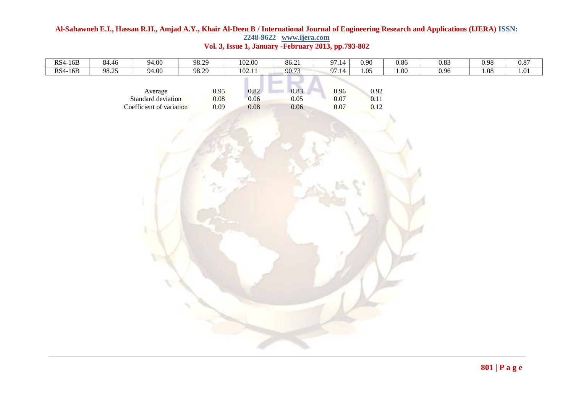# **Al-Sahawneh E.I., Hassan R.H., Amjad A.Y., Khair Al-Deen B / International Journal of Engineering Research and Applications (IJERA) ISSN: 2248-9622 www.ijera.com**

| <b>RS4-16B</b> | 84.46 | 94.00                                                     | 98.29                | 102.00                   | 86.21                | 97.14                | 0.90                 | 0.86 | 0.83 | 0.98 | 0.87 |
|----------------|-------|-----------------------------------------------------------|----------------------|--------------------------|----------------------|----------------------|----------------------|------|------|------|------|
| <b>RS4-16B</b> | 98.25 | 94.00                                                     | 98.29                | 102.11                   | 90.73                | 97.14                | 1.05                 | 1.00 | 0.96 | 1.08 | 1.01 |
|                |       | Average<br>Standard deviation<br>Coefficient of variation | 0.95<br>0.08<br>0.09 | 0.82<br>0.06<br>$0.08\,$ | 0.83<br>0.05<br>0.06 | 0.96<br>0.07<br>0.07 | 0.92<br>0.11<br>0.12 |      |      |      |      |
|                |       | $\mathcal{R}_{\rm{c}}$                                    | তি                   |                          |                      |                      |                      |      |      |      |      |